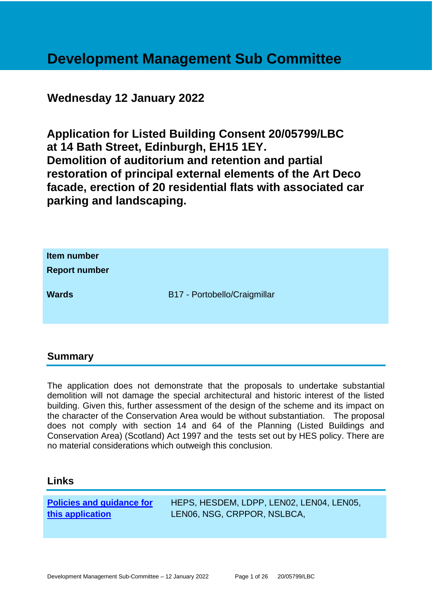# **Development Management Sub Committee**

# **Wednesday 12 January 2022**

**Application for Listed Building Consent 20/05799/LBC at 14 Bath Street, Edinburgh, EH15 1EY. Demolition of auditorium and retention and partial restoration of principal external elements of the Art Deco facade, erection of 20 residential flats with associated car parking and landscaping.**

| Item number<br><b>Report number</b> |                              |
|-------------------------------------|------------------------------|
| <b>Wards</b>                        | B17 - Portobello/Craigmillar |

#### **Summary**

The application does not demonstrate that the proposals to undertake substantial demolition will not damage the special architectural and historic interest of the listed building. Given this, further assessment of the design of the scheme and its impact on the character of the Conservation Area would be without substantiation. The proposal does not comply with section 14 and 64 of the Planning (Listed Buildings and Conservation Area) (Scotland) Act 1997 and the tests set out by HES policy. There are no material considerations which outweigh this conclusion.

#### **Links**

**[Policies and guidance for](file:///C:/uniform/temp/uf04148.rtf%23Policies)  [this application](file:///C:/uniform/temp/uf04148.rtf%23Policies)**

HEPS, HESDEM, LDPP, LEN02, LEN04, LEN05, LEN06, NSG, CRPPOR, NSLBCA,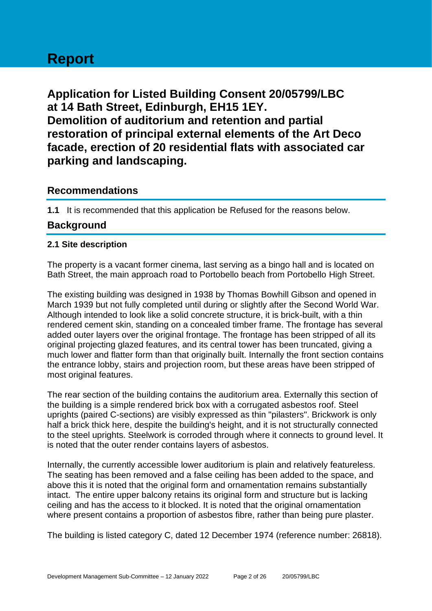# **Report**

**Application for Listed Building Consent 20/05799/LBC at 14 Bath Street, Edinburgh, EH15 1EY. Demolition of auditorium and retention and partial restoration of principal external elements of the Art Deco facade, erection of 20 residential flats with associated car parking and landscaping.**

## **Recommendations**

**1.1** It is recommended that this application be Refused for the reasons below.

# **Background**

#### **2.1 Site description**

The property is a vacant former cinema, last serving as a bingo hall and is located on Bath Street, the main approach road to Portobello beach from Portobello High Street.

The existing building was designed in 1938 by Thomas Bowhill Gibson and opened in March 1939 but not fully completed until during or slightly after the Second World War. Although intended to look like a solid concrete structure, it is brick-built, with a thin rendered cement skin, standing on a concealed timber frame. The frontage has several added outer layers over the original frontage. The frontage has been stripped of all its original projecting glazed features, and its central tower has been truncated, giving a much lower and flatter form than that originally built. Internally the front section contains the entrance lobby, stairs and projection room, but these areas have been stripped of most original features.

The rear section of the building contains the auditorium area. Externally this section of the building is a simple rendered brick box with a corrugated asbestos roof. Steel uprights (paired C-sections) are visibly expressed as thin "pilasters". Brickwork is only half a brick thick here, despite the building's height, and it is not structurally connected to the steel uprights. Steelwork is corroded through where it connects to ground level. It is noted that the outer render contains layers of asbestos.

Internally, the currently accessible lower auditorium is plain and relatively featureless. The seating has been removed and a false ceiling has been added to the space, and above this it is noted that the original form and ornamentation remains substantially intact. The entire upper balcony retains its original form and structure but is lacking ceiling and has the access to it blocked. It is noted that the original ornamentation where present contains a proportion of asbestos fibre, rather than being pure plaster.

The building is listed category C, dated 12 December 1974 (reference number: 26818).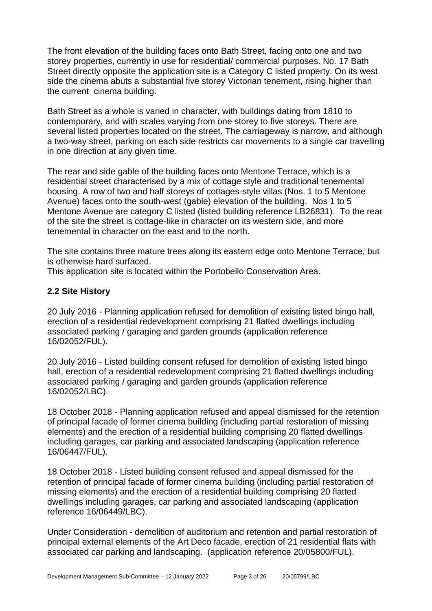The front elevation of the building faces onto Bath Street, facing onto one and two storey properties, currently in use for residential/ commercial purposes. No. 17 Bath Street directly opposite the application site is a Category C listed property. On its west side the cinema abuts a substantial five storey Victorian tenement, rising higher than the current cinema building.

Bath Street as a whole is varied in character, with buildings dating from 1810 to contemporary, and with scales varying from one storey to five storeys. There are several listed properties located on the street. The carriageway is narrow, and although a two-way street, parking on each side restricts car movements to a single car travelling in one direction at any given time.

The rear and side gable of the building faces onto Mentone Terrace, which is a residential street characterised by a mix of cottage style and traditional tenemental housing. A row of two and half storeys of cottages-style villas (Nos. 1 to 5 Mentone Avenue) faces onto the south-west (gable) elevation of the building. Nos 1 to 5 Mentone Avenue are category C listed (listed building reference LB26831). To the rear of the site the street is cottage-like in character on its western side, and more tenemental in character on the east and to the north.

The site contains three mature trees along its eastern edge onto Mentone Terrace, but is otherwise hard surfaced.

This application site is located within the Portobello Conservation Area.

#### **2.2 Site History**

20 July 2016 - Planning application refused for demolition of existing listed bingo hall, erection of a residential redevelopment comprising 21 flatted dwellings including associated parking / garaging and garden grounds (application reference 16/02052/FUL).

20 July 2016 - Listed building consent refused for demolition of existing listed bingo hall, erection of a residential redevelopment comprising 21 flatted dwellings including associated parking / garaging and garden grounds (application reference 16/02052/LBC).

18 October 2018 - Planning application refused and appeal dismissed for the retention of principal facade of former cinema building (including partial restoration of missing elements) and the erection of a residential building comprising 20 flatted dwellings including garages, car parking and associated landscaping (application reference 16/06447/FUL).

18 October 2018 - Listed building consent refused and appeal dismissed for the retention of principal facade of former cinema building (including partial restoration of missing elements) and the erection of a residential building comprising 20 flatted dwellings including garages, car parking and associated landscaping (application reference 16/06449/LBC).

Under Consideration - demolition of auditorium and retention and partial restoration of principal external elements of the Art Deco facade, erection of 21 residential flats with associated car parking and landscaping. (application reference 20/05800/FUL).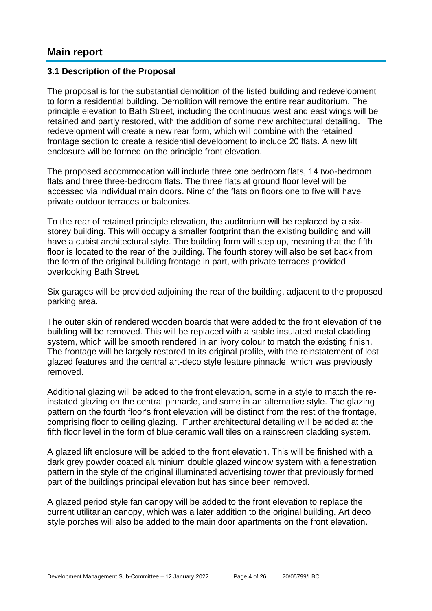## **Main report**

#### **3.1 Description of the Proposal**

The proposal is for the substantial demolition of the listed building and redevelopment to form a residential building. Demolition will remove the entire rear auditorium. The principle elevation to Bath Street, including the continuous west and east wings will be retained and partly restored, with the addition of some new architectural detailing. The redevelopment will create a new rear form, which will combine with the retained frontage section to create a residential development to include 20 flats. A new lift enclosure will be formed on the principle front elevation.

The proposed accommodation will include three one bedroom flats, 14 two-bedroom flats and three three-bedroom flats. The three flats at ground floor level will be accessed via individual main doors. Nine of the flats on floors one to five will have private outdoor terraces or balconies.

To the rear of retained principle elevation, the auditorium will be replaced by a sixstorey building. This will occupy a smaller footprint than the existing building and will have a cubist architectural style. The building form will step up, meaning that the fifth floor is located to the rear of the building. The fourth storey will also be set back from the form of the original building frontage in part, with private terraces provided overlooking Bath Street.

Six garages will be provided adjoining the rear of the building, adjacent to the proposed parking area.

The outer skin of rendered wooden boards that were added to the front elevation of the building will be removed. This will be replaced with a stable insulated metal cladding system, which will be smooth rendered in an ivory colour to match the existing finish. The frontage will be largely restored to its original profile, with the reinstatement of lost glazed features and the central art-deco style feature pinnacle, which was previously removed.

Additional glazing will be added to the front elevation, some in a style to match the reinstated glazing on the central pinnacle, and some in an alternative style. The glazing pattern on the fourth floor's front elevation will be distinct from the rest of the frontage, comprising floor to ceiling glazing. Further architectural detailing will be added at the fifth floor level in the form of blue ceramic wall tiles on a rainscreen cladding system.

A glazed lift enclosure will be added to the front elevation. This will be finished with a dark grey powder coated aluminium double glazed window system with a fenestration pattern in the style of the original illuminated advertising tower that previously formed part of the buildings principal elevation but has since been removed.

A glazed period style fan canopy will be added to the front elevation to replace the current utilitarian canopy, which was a later addition to the original building. Art deco style porches will also be added to the main door apartments on the front elevation.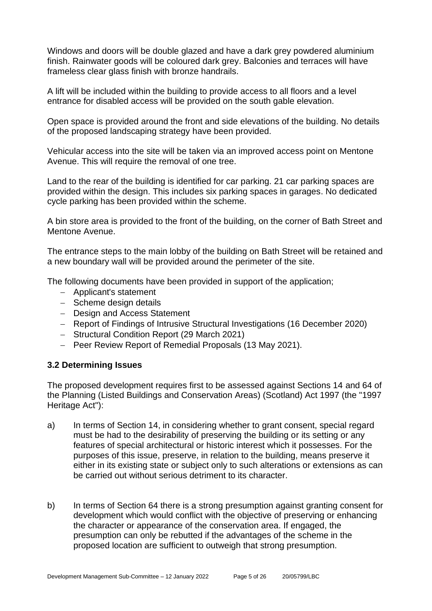Windows and doors will be double glazed and have a dark grey powdered aluminium finish. Rainwater goods will be coloured dark grey. Balconies and terraces will have frameless clear glass finish with bronze handrails.

A lift will be included within the building to provide access to all floors and a level entrance for disabled access will be provided on the south gable elevation.

Open space is provided around the front and side elevations of the building. No details of the proposed landscaping strategy have been provided.

Vehicular access into the site will be taken via an improved access point on Mentone Avenue. This will require the removal of one tree.

Land to the rear of the building is identified for car parking. 21 car parking spaces are provided within the design. This includes six parking spaces in garages. No dedicated cycle parking has been provided within the scheme.

A bin store area is provided to the front of the building, on the corner of Bath Street and Mentone Avenue.

The entrance steps to the main lobby of the building on Bath Street will be retained and a new boundary wall will be provided around the perimeter of the site.

The following documents have been provided in support of the application;

- − Applicant's statement
- − Scheme design details
- − Design and Access Statement
- − Report of Findings of Intrusive Structural Investigations (16 December 2020)
- − Structural Condition Report (29 March 2021)
- − Peer Review Report of Remedial Proposals (13 May 2021).

#### **3.2 Determining Issues**

The proposed development requires first to be assessed against Sections 14 and 64 of the Planning (Listed Buildings and Conservation Areas) (Scotland) Act 1997 (the "1997 Heritage Act"):

- a) In terms of Section 14, in considering whether to grant consent, special regard must be had to the desirability of preserving the building or its setting or any features of special architectural or historic interest which it possesses. For the purposes of this issue, preserve, in relation to the building, means preserve it either in its existing state or subject only to such alterations or extensions as can be carried out without serious detriment to its character.
- b) In terms of Section 64 there is a strong presumption against granting consent for development which would conflict with the objective of preserving or enhancing the character or appearance of the conservation area. If engaged, the presumption can only be rebutted if the advantages of the scheme in the proposed location are sufficient to outweigh that strong presumption.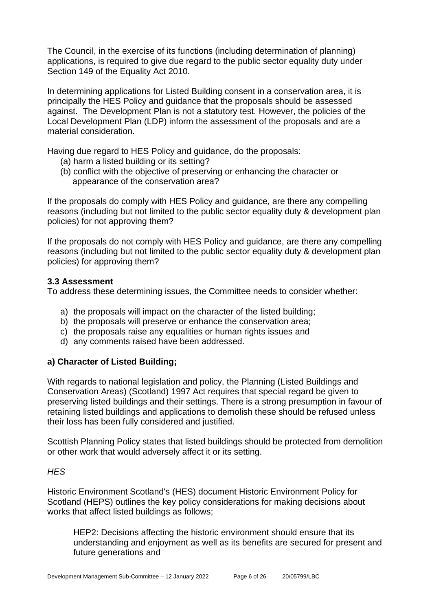The Council, in the exercise of its functions (including determination of planning) applications, is required to give due regard to the public sector equality duty under Section 149 of the Equality Act 2010.

In determining applications for Listed Building consent in a conservation area, it is principally the HES Policy and guidance that the proposals should be assessed against. The Development Plan is not a statutory test. However, the policies of the Local Development Plan (LDP) inform the assessment of the proposals and are a material consideration.

Having due regard to HES Policy and guidance, do the proposals:

- (a) harm a listed building or its setting?
- (b) conflict with the objective of preserving or enhancing the character or appearance of the conservation area?

If the proposals do comply with HES Policy and guidance, are there any compelling reasons (including but not limited to the public sector equality duty & development plan policies) for not approving them?

If the proposals do not comply with HES Policy and guidance, are there any compelling reasons (including but not limited to the public sector equality duty & development plan policies) for approving them?

#### **3.3 Assessment**

To address these determining issues, the Committee needs to consider whether:

- a) the proposals will impact on the character of the listed building;
- b) the proposals will preserve or enhance the conservation area;
- c) the proposals raise any equalities or human rights issues and
- d) any comments raised have been addressed.

#### **a) Character of Listed Building;**

With regards to national legislation and policy, the Planning (Listed Buildings and Conservation Areas) (Scotland) 1997 Act requires that special regard be given to preserving listed buildings and their settings. There is a strong presumption in favour of retaining listed buildings and applications to demolish these should be refused unless their loss has been fully considered and justified.

Scottish Planning Policy states that listed buildings should be protected from demolition or other work that would adversely affect it or its setting.

#### *HES*

Historic Environment Scotland's (HES) document Historic Environment Policy for Scotland (HEPS) outlines the key policy considerations for making decisions about works that affect listed buildings as follows;

− HEP2: Decisions affecting the historic environment should ensure that its understanding and enjoyment as well as its benefits are secured for present and future generations and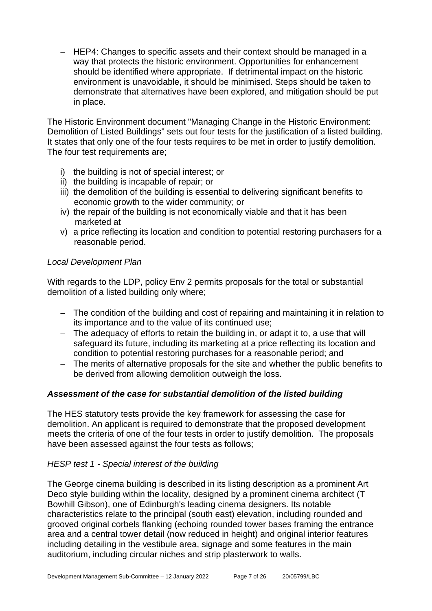− HEP4: Changes to specific assets and their context should be managed in a way that protects the historic environment. Opportunities for enhancement should be identified where appropriate. If detrimental impact on the historic environment is unavoidable, it should be minimised. Steps should be taken to demonstrate that alternatives have been explored, and mitigation should be put in place.

The Historic Environment document "Managing Change in the Historic Environment: Demolition of Listed Buildings" sets out four tests for the justification of a listed building. It states that only one of the four tests requires to be met in order to justify demolition. The four test requirements are;

- i) the building is not of special interest; or
- ii) the building is incapable of repair; or
- iii) the demolition of the building is essential to delivering significant benefits to economic growth to the wider community; or
- iv) the repair of the building is not economically viable and that it has been marketed at
- v) a price reflecting its location and condition to potential restoring purchasers for a reasonable period.

#### *Local Development Plan*

With regards to the LDP, policy Env 2 permits proposals for the total or substantial demolition of a listed building only where;

- − The condition of the building and cost of repairing and maintaining it in relation to its importance and to the value of its continued use;
- − The adequacy of efforts to retain the building in, or adapt it to, a use that will safeguard its future, including its marketing at a price reflecting its location and condition to potential restoring purchases for a reasonable period; and
- − The merits of alternative proposals for the site and whether the public benefits to be derived from allowing demolition outweigh the loss.

#### *Assessment of the case for substantial demolition of the listed building*

The HES statutory tests provide the key framework for assessing the case for demolition. An applicant is required to demonstrate that the proposed development meets the criteria of one of the four tests in order to justify demolition. The proposals have been assessed against the four tests as follows;

#### *HESP test 1 - Special interest of the building*

The George cinema building is described in its listing description as a prominent Art Deco style building within the locality, designed by a prominent cinema architect (T Bowhill Gibson), one of Edinburgh's leading cinema designers. Its notable characteristics relate to the principal (south east) elevation, including rounded and grooved original corbels flanking (echoing rounded tower bases framing the entrance area and a central tower detail (now reduced in height) and original interior features including detailing in the vestibule area, signage and some features in the main auditorium, including circular niches and strip plasterwork to walls.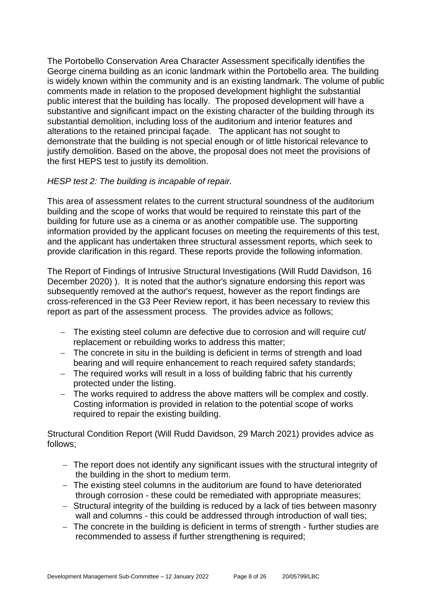The Portobello Conservation Area Character Assessment specifically identifies the George cinema building as an iconic landmark within the Portobello area. The building is widely known within the community and is an existing landmark. The volume of public comments made in relation to the proposed development highlight the substantial public interest that the building has locally. The proposed development will have a substantive and significant impact on the existing character of the building through its substantial demolition, including loss of the auditorium and interior features and alterations to the retained principal façade. The applicant has not sought to demonstrate that the building is not special enough or of little historical relevance to justify demolition. Based on the above, the proposal does not meet the provisions of the first HEPS test to justify its demolition.

#### *HESP test 2: The building is incapable of repair.*

This area of assessment relates to the current structural soundness of the auditorium building and the scope of works that would be required to reinstate this part of the building for future use as a cinema or as another compatible use. The supporting information provided by the applicant focuses on meeting the requirements of this test, and the applicant has undertaken three structural assessment reports, which seek to provide clarification in this regard. These reports provide the following information.

The Report of Findings of Intrusive Structural Investigations (Will Rudd Davidson, 16 December 2020) ). It is noted that the author's signature endorsing this report was subsequently removed at the author's request, however as the report findings are cross-referenced in the G3 Peer Review report, it has been necessary to review this report as part of the assessment process. The provides advice as follows;

- − The existing steel column are defective due to corrosion and will require cut/ replacement or rebuilding works to address this matter;
- − The concrete in situ in the building is deficient in terms of strength and load bearing and will require enhancement to reach required safety standards:
- − The required works will result in a loss of building fabric that his currently protected under the listing.
- − The works required to address the above matters will be complex and costly. Costing information is provided in relation to the potential scope of works required to repair the existing building.

Structural Condition Report (Will Rudd Davidson, 29 March 2021) provides advice as follows;

- − The report does not identify any significant issues with the structural integrity of the building in the short to medium term.
- − The existing steel columns in the auditorium are found to have deteriorated through corrosion - these could be remediated with appropriate measures;
- − Structural integrity of the building is reduced by a lack of ties between masonry wall and columns - this could be addressed through introduction of wall ties;
- − The concrete in the building is deficient in terms of strength further studies are recommended to assess if further strengthening is required;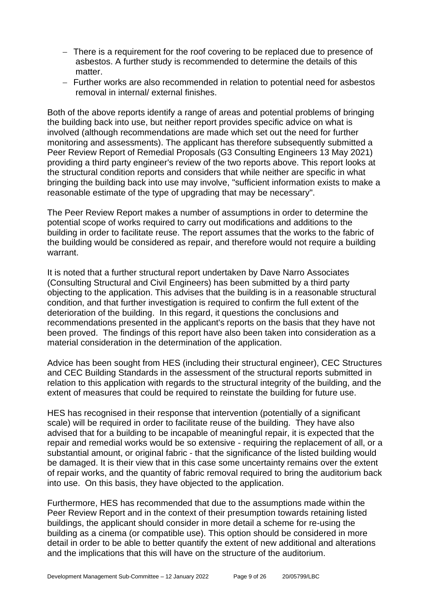- − There is a requirement for the roof covering to be replaced due to presence of asbestos. A further study is recommended to determine the details of this matter
- − Further works are also recommended in relation to potential need for asbestos removal in internal/ external finishes.

Both of the above reports identify a range of areas and potential problems of bringing the building back into use, but neither report provides specific advice on what is involved (although recommendations are made which set out the need for further monitoring and assessments). The applicant has therefore subsequently submitted a Peer Review Report of Remedial Proposals (G3 Consulting Engineers 13 May 2021) providing a third party engineer's review of the two reports above. This report looks at the structural condition reports and considers that while neither are specific in what bringing the building back into use may involve, "sufficient information exists to make a reasonable estimate of the type of upgrading that may be necessary".

The Peer Review Report makes a number of assumptions in order to determine the potential scope of works required to carry out modifications and additions to the building in order to facilitate reuse. The report assumes that the works to the fabric of the building would be considered as repair, and therefore would not require a building warrant.

It is noted that a further structural report undertaken by Dave Narro Associates (Consulting Structural and Civil Engineers) has been submitted by a third party objecting to the application. This advises that the building is in a reasonable structural condition, and that further investigation is required to confirm the full extent of the deterioration of the building. In this regard, it questions the conclusions and recommendations presented in the applicant's reports on the basis that they have not been proved. The findings of this report have also been taken into consideration as a material consideration in the determination of the application.

Advice has been sought from HES (including their structural engineer), CEC Structures and CEC Building Standards in the assessment of the structural reports submitted in relation to this application with regards to the structural integrity of the building, and the extent of measures that could be required to reinstate the building for future use.

HES has recognised in their response that intervention (potentially of a significant scale) will be required in order to facilitate reuse of the building. They have also advised that for a building to be incapable of meaningful repair, it is expected that the repair and remedial works would be so extensive - requiring the replacement of all, or a substantial amount, or original fabric - that the significance of the listed building would be damaged. It is their view that in this case some uncertainty remains over the extent of repair works, and the quantity of fabric removal required to bring the auditorium back into use. On this basis, they have objected to the application.

Furthermore, HES has recommended that due to the assumptions made within the Peer Review Report and in the context of their presumption towards retaining listed buildings, the applicant should consider in more detail a scheme for re-using the building as a cinema (or compatible use). This option should be considered in more detail in order to be able to better quantify the extent of new additional and alterations and the implications that this will have on the structure of the auditorium.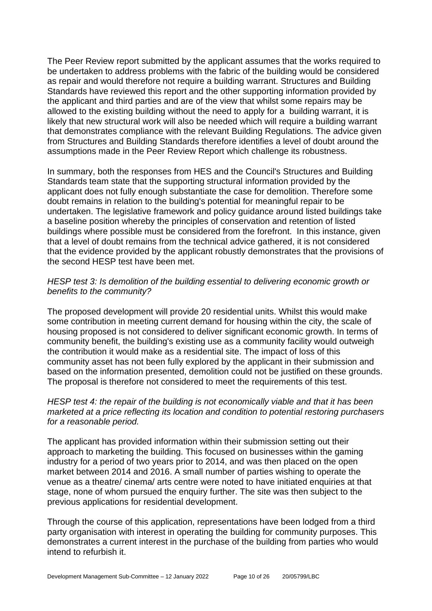The Peer Review report submitted by the applicant assumes that the works required to be undertaken to address problems with the fabric of the building would be considered as repair and would therefore not require a building warrant. Structures and Building Standards have reviewed this report and the other supporting information provided by the applicant and third parties and are of the view that whilst some repairs may be allowed to the existing building without the need to apply for a building warrant, it is likely that new structural work will also be needed which will require a building warrant that demonstrates compliance with the relevant Building Regulations. The advice given from Structures and Building Standards therefore identifies a level of doubt around the assumptions made in the Peer Review Report which challenge its robustness.

In summary, both the responses from HES and the Council's Structures and Building Standards team state that the supporting structural information provided by the applicant does not fully enough substantiate the case for demolition. Therefore some doubt remains in relation to the building's potential for meaningful repair to be undertaken. The legislative framework and policy guidance around listed buildings take a baseline position whereby the principles of conservation and retention of listed buildings where possible must be considered from the forefront. In this instance, given that a level of doubt remains from the technical advice gathered, it is not considered that the evidence provided by the applicant robustly demonstrates that the provisions of the second HESP test have been met.

#### *HESP test 3: Is demolition of the building essential to delivering economic growth or benefits to the community?*

The proposed development will provide 20 residential units. Whilst this would make some contribution in meeting current demand for housing within the city, the scale of housing proposed is not considered to deliver significant economic growth. In terms of community benefit, the building's existing use as a community facility would outweigh the contribution it would make as a residential site. The impact of loss of this community asset has not been fully explored by the applicant in their submission and based on the information presented, demolition could not be justified on these grounds. The proposal is therefore not considered to meet the requirements of this test.

#### *HESP test 4: the repair of the building is not economically viable and that it has been marketed at a price reflecting its location and condition to potential restoring purchasers for a reasonable period.*

The applicant has provided information within their submission setting out their approach to marketing the building. This focused on businesses within the gaming industry for a period of two years prior to 2014, and was then placed on the open market between 2014 and 2016. A small number of parties wishing to operate the venue as a theatre/ cinema/ arts centre were noted to have initiated enquiries at that stage, none of whom pursued the enquiry further. The site was then subject to the previous applications for residential development.

Through the course of this application, representations have been lodged from a third party organisation with interest in operating the building for community purposes. This demonstrates a current interest in the purchase of the building from parties who would intend to refurbish it.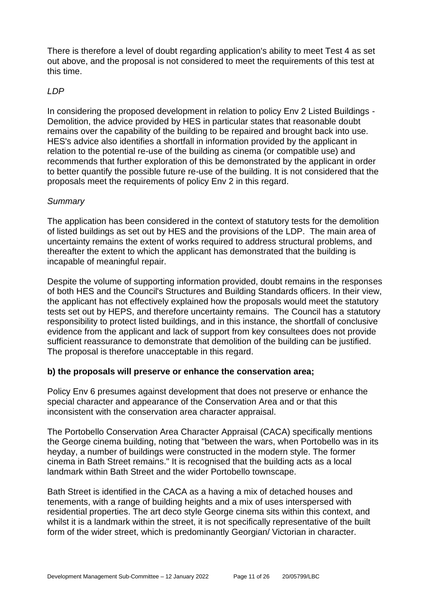There is therefore a level of doubt regarding application's ability to meet Test 4 as set out above, and the proposal is not considered to meet the requirements of this test at this time.

#### *LDP*

In considering the proposed development in relation to policy Env 2 Listed Buildings - Demolition, the advice provided by HES in particular states that reasonable doubt remains over the capability of the building to be repaired and brought back into use. HES's advice also identifies a shortfall in information provided by the applicant in relation to the potential re-use of the building as cinema (or compatible use) and recommends that further exploration of this be demonstrated by the applicant in order to better quantify the possible future re-use of the building. It is not considered that the proposals meet the requirements of policy Env 2 in this regard.

#### *Summary*

The application has been considered in the context of statutory tests for the demolition of listed buildings as set out by HES and the provisions of the LDP. The main area of uncertainty remains the extent of works required to address structural problems, and thereafter the extent to which the applicant has demonstrated that the building is incapable of meaningful repair.

Despite the volume of supporting information provided, doubt remains in the responses of both HES and the Council's Structures and Building Standards officers. In their view, the applicant has not effectively explained how the proposals would meet the statutory tests set out by HEPS, and therefore uncertainty remains. The Council has a statutory responsibility to protect listed buildings, and in this instance, the shortfall of conclusive evidence from the applicant and lack of support from key consultees does not provide sufficient reassurance to demonstrate that demolition of the building can be justified. The proposal is therefore unacceptable in this regard.

#### **b) the proposals will preserve or enhance the conservation area;**

Policy Env 6 presumes against development that does not preserve or enhance the special character and appearance of the Conservation Area and or that this inconsistent with the conservation area character appraisal.

The Portobello Conservation Area Character Appraisal (CACA) specifically mentions the George cinema building, noting that "between the wars, when Portobello was in its heyday, a number of buildings were constructed in the modern style. The former cinema in Bath Street remains." It is recognised that the building acts as a local landmark within Bath Street and the wider Portobello townscape.

Bath Street is identified in the CACA as a having a mix of detached houses and tenements, with a range of building heights and a mix of uses interspersed with residential properties. The art deco style George cinema sits within this context, and whilst it is a landmark within the street, it is not specifically representative of the built form of the wider street, which is predominantly Georgian/ Victorian in character.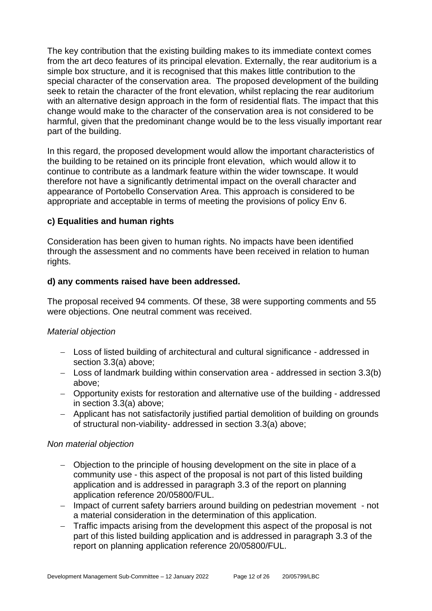The key contribution that the existing building makes to its immediate context comes from the art deco features of its principal elevation. Externally, the rear auditorium is a simple box structure, and it is recognised that this makes little contribution to the special character of the conservation area. The proposed development of the building seek to retain the character of the front elevation, whilst replacing the rear auditorium with an alternative design approach in the form of residential flats. The impact that this change would make to the character of the conservation area is not considered to be harmful, given that the predominant change would be to the less visually important rear part of the building.

In this regard, the proposed development would allow the important characteristics of the building to be retained on its principle front elevation, which would allow it to continue to contribute as a landmark feature within the wider townscape. It would therefore not have a significantly detrimental impact on the overall character and appearance of Portobello Conservation Area. This approach is considered to be appropriate and acceptable in terms of meeting the provisions of policy Env 6.

#### **c) Equalities and human rights**

Consideration has been given to human rights. No impacts have been identified through the assessment and no comments have been received in relation to human rights.

#### **d) any comments raised have been addressed.**

The proposal received 94 comments. Of these, 38 were supporting comments and 55 were objections. One neutral comment was received.

#### *Material objection*

- − Loss of listed building of architectural and cultural significance addressed in section 3.3(a) above;
- − Loss of landmark building within conservation area addressed in section 3.3(b) above;
- − Opportunity exists for restoration and alternative use of the building addressed in section 3.3(a) above;
- − Applicant has not satisfactorily justified partial demolition of building on grounds of structural non-viability- addressed in section 3.3(a) above;

#### *Non material objection*

- − Objection to the principle of housing development on the site in place of a community use - this aspect of the proposal is not part of this listed building application and is addressed in paragraph 3.3 of the report on planning application reference 20/05800/FUL.
- − Impact of current safety barriers around building on pedestrian movement not a material consideration in the determination of this application.
- − Traffic impacts arising from the development this aspect of the proposal is not part of this listed building application and is addressed in paragraph 3.3 of the report on planning application reference 20/05800/FUL.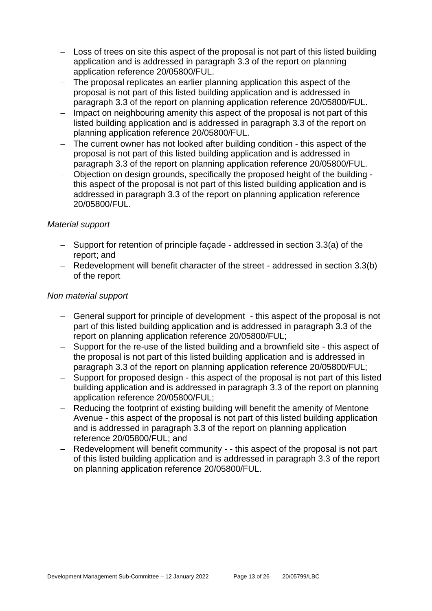- − Loss of trees on site this aspect of the proposal is not part of this listed building application and is addressed in paragraph 3.3 of the report on planning application reference 20/05800/FUL.
- − The proposal replicates an earlier planning application this aspect of the proposal is not part of this listed building application and is addressed in paragraph 3.3 of the report on planning application reference 20/05800/FUL.
- − Impact on neighbouring amenity this aspect of the proposal is not part of this listed building application and is addressed in paragraph 3.3 of the report on planning application reference 20/05800/FUL.
- − The current owner has not looked after building condition this aspect of the proposal is not part of this listed building application and is addressed in paragraph 3.3 of the report on planning application reference 20/05800/FUL.
- − Objection on design grounds, specifically the proposed height of the building this aspect of the proposal is not part of this listed building application and is addressed in paragraph 3.3 of the report on planning application reference 20/05800/FUL.

#### *Material support*

- − Support for retention of principle façade addressed in section 3.3(a) of the report; and
- − Redevelopment will benefit character of the street addressed in section 3.3(b) of the report

#### *Non material support*

- − General support for principle of development this aspect of the proposal is not part of this listed building application and is addressed in paragraph 3.3 of the report on planning application reference 20/05800/FUL;
- − Support for the re-use of the listed building and a brownfield site this aspect of the proposal is not part of this listed building application and is addressed in paragraph 3.3 of the report on planning application reference 20/05800/FUL;
- − Support for proposed design this aspect of the proposal is not part of this listed building application and is addressed in paragraph 3.3 of the report on planning application reference 20/05800/FUL;
- − Reducing the footprint of existing building will benefit the amenity of Mentone Avenue - this aspect of the proposal is not part of this listed building application and is addressed in paragraph 3.3 of the report on planning application reference 20/05800/FUL; and
- Redevelopment will benefit community - this aspect of the proposal is not part of this listed building application and is addressed in paragraph 3.3 of the report on planning application reference 20/05800/FUL.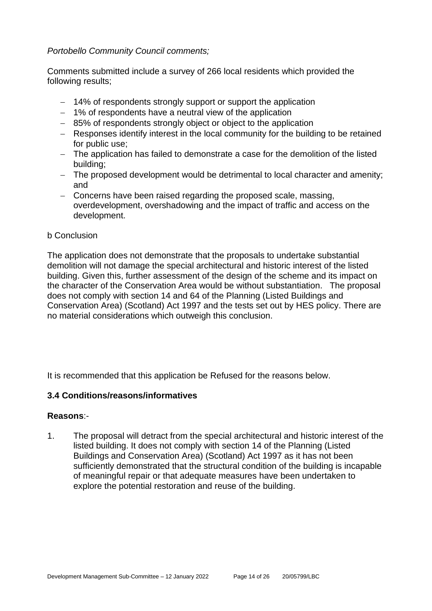#### *Portobello Community Council comments;*

Comments submitted include a survey of 266 local residents which provided the following results;

- − 14% of respondents strongly support or support the application
- − 1% of respondents have a neutral view of the application
- − 85% of respondents strongly object or object to the application
- − Responses identify interest in the local community for the building to be retained for public use;
- − The application has failed to demonstrate a case for the demolition of the listed building;
- − The proposed development would be detrimental to local character and amenity; and
- − Concerns have been raised regarding the proposed scale, massing, overdevelopment, overshadowing and the impact of traffic and access on the development.

#### b Conclusion

The application does not demonstrate that the proposals to undertake substantial demolition will not damage the special architectural and historic interest of the listed building. Given this, further assessment of the design of the scheme and its impact on the character of the Conservation Area would be without substantiation. The proposal does not comply with section 14 and 64 of the Planning (Listed Buildings and Conservation Area) (Scotland) Act 1997 and the tests set out by HES policy. There are no material considerations which outweigh this conclusion.

It is recommended that this application be Refused for the reasons below.

#### **3.4 Conditions/reasons/informatives**

#### **Reasons**:-

1. The proposal will detract from the special architectural and historic interest of the listed building. It does not comply with section 14 of the Planning (Listed Buildings and Conservation Area) (Scotland) Act 1997 as it has not been sufficiently demonstrated that the structural condition of the building is incapable of meaningful repair or that adequate measures have been undertaken to explore the potential restoration and reuse of the building.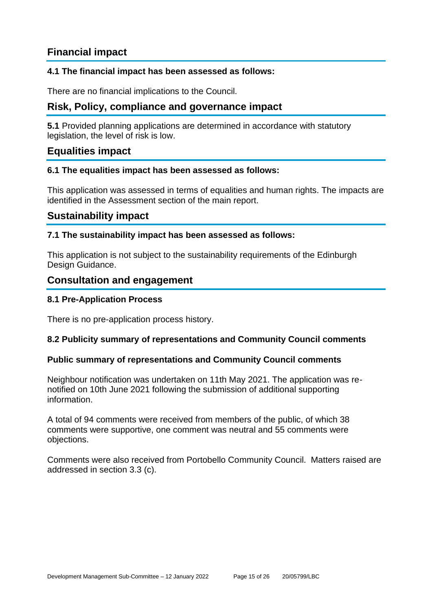# **Financial impact**

#### **4.1 The financial impact has been assessed as follows:**

There are no financial implications to the Council.

## **Risk, Policy, compliance and governance impact**

**5.1** Provided planning applications are determined in accordance with statutory legislation, the level of risk is low.

#### **Equalities impact**

#### **6.1 The equalities impact has been assessed as follows:**

This application was assessed in terms of equalities and human rights. The impacts are identified in the Assessment section of the main report.

#### **Sustainability impact**

#### **7.1 The sustainability impact has been assessed as follows:**

This application is not subject to the sustainability requirements of the Edinburgh Design Guidance.

#### **Consultation and engagement**

#### **8.1 Pre-Application Process**

There is no pre-application process history.

#### **8.2 Publicity summary of representations and Community Council comments**

#### **Public summary of representations and Community Council comments**

Neighbour notification was undertaken on 11th May 2021. The application was renotified on 10th June 2021 following the submission of additional supporting information.

A total of 94 comments were received from members of the public, of which 38 comments were supportive, one comment was neutral and 55 comments were objections.

Comments were also received from Portobello Community Council. Matters raised are addressed in section 3.3 (c).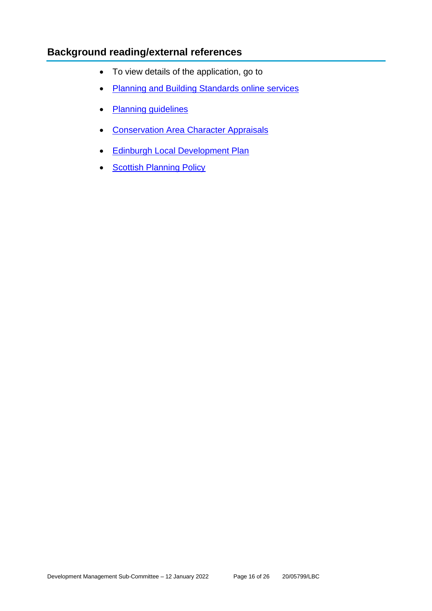# **Background reading/external references**

- To view details of the application, go to
- [Planning and Building Standards online services](https://citydev-portal.edinburgh.gov.uk/idoxpa-web/search.do?action=simple&searchType=Application)
- [Planning guidelines](http://www.edinburgh.gov.uk/planningguidelines)
- [Conservation Area Character Appraisals](http://www.edinburgh.gov.uk/characterappraisals)
- [Edinburgh Local Development Plan](http://www.edinburgh.gov.uk/localdevelopmentplan)
- [Scottish Planning Policy](http://www.scotland.gov.uk/Topics/Built-Environment/planning/Policy)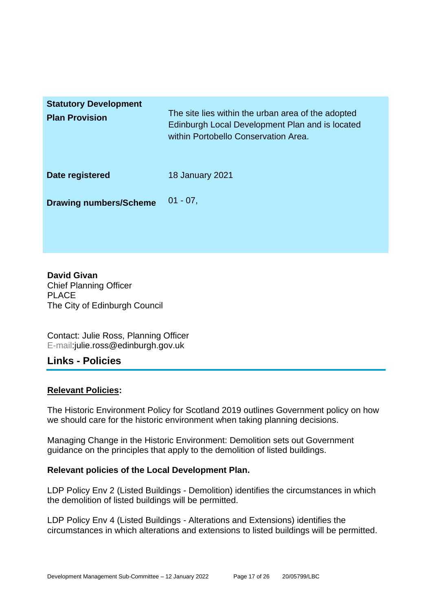| <b>Statutory Development</b><br><b>Plan Provision</b> | The site lies within the urban area of the adopted<br>Edinburgh Local Development Plan and is located<br>within Portobello Conservation Area. |
|-------------------------------------------------------|-----------------------------------------------------------------------------------------------------------------------------------------------|
| Date registered                                       | <b>18 January 2021</b>                                                                                                                        |
| <b>Drawing numbers/Scheme</b>                         | $01 - 07$                                                                                                                                     |

**David Givan** Chief Planning Officer PLACE The City of Edinburgh Council

Contact: Julie Ross, Planning Officer E-mail:julie.ross@edinburgh.gov.uk

#### **Links - Policies**

#### **Relevant Policies:**

The Historic Environment Policy for Scotland 2019 outlines Government policy on how we should care for the historic environment when taking planning decisions.

Managing Change in the Historic Environment: Demolition sets out Government guidance on the principles that apply to the demolition of listed buildings.

#### **Relevant policies of the Local Development Plan.**

LDP Policy Env 2 (Listed Buildings - Demolition) identifies the circumstances in which the demolition of listed buildings will be permitted.

LDP Policy Env 4 (Listed Buildings - Alterations and Extensions) identifies the circumstances in which alterations and extensions to listed buildings will be permitted.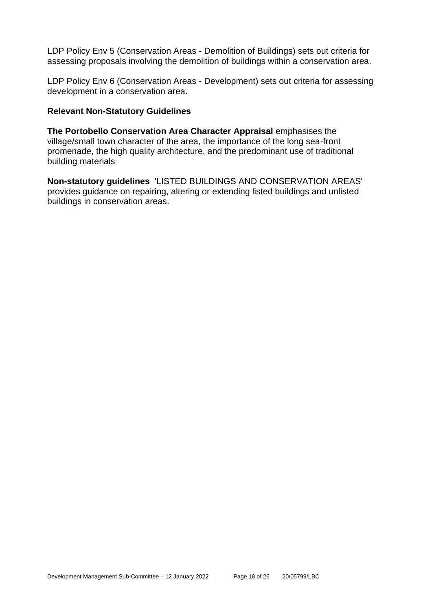LDP Policy Env 5 (Conservation Areas - Demolition of Buildings) sets out criteria for assessing proposals involving the demolition of buildings within a conservation area.

LDP Policy Env 6 (Conservation Areas - Development) sets out criteria for assessing development in a conservation area.

#### **Relevant Non-Statutory Guidelines**

**The Portobello Conservation Area Character Appraisal** emphasises the village/small town character of the area, the importance of the long sea-front promenade, the high quality architecture, and the predominant use of traditional building materials

**Non-statutory guidelines** 'LISTED BUILDINGS AND CONSERVATION AREAS' provides guidance on repairing, altering or extending listed buildings and unlisted buildings in conservation areas.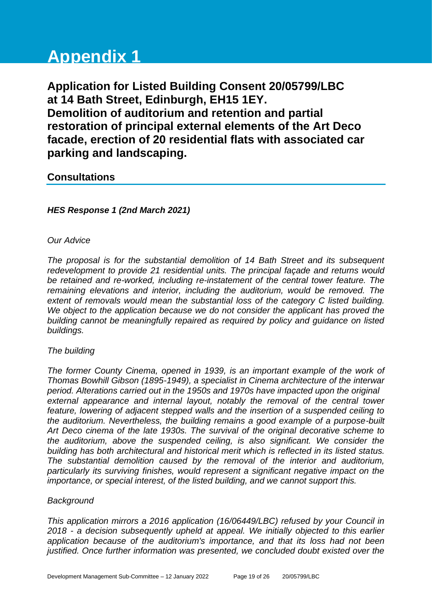# **Appendix 1**

**Application for Listed Building Consent 20/05799/LBC at 14 Bath Street, Edinburgh, EH15 1EY. Demolition of auditorium and retention and partial restoration of principal external elements of the Art Deco facade, erection of 20 residential flats with associated car parking and landscaping.**

# **Consultations**

#### *HES Response 1 (2nd March 2021)*

#### *Our Advice*

*The proposal is for the substantial demolition of 14 Bath Street and its subsequent redevelopment to provide 21 residential units. The principal façade and returns would be retained and re-worked, including re-instatement of the central tower feature. The remaining elevations and interior, including the auditorium, would be removed. The extent of removals would mean the substantial loss of the category C listed building. We object to the application because we do not consider the applicant has proved the building cannot be meaningfully repaired as required by policy and guidance on listed buildings.*

#### *The building*

*The former County Cinema, opened in 1939, is an important example of the work of Thomas Bowhill Gibson (1895-1949), a specialist in Cinema architecture of the interwar period. Alterations carried out in the 1950s and 1970s have impacted upon the original*  external appearance and internal layout, notably the removal of the central tower *feature, lowering of adjacent stepped walls and the insertion of a suspended ceiling to the auditorium. Nevertheless, the building remains a good example of a purpose-built Art Deco cinema of the late 1930s. The survival of the original decorative scheme to the auditorium, above the suspended ceiling, is also significant. We consider the building has both architectural and historical merit which is reflected in its listed status. The substantial demolition caused by the removal of the interior and auditorium, particularly its surviving finishes, would represent a significant negative impact on the importance, or special interest, of the listed building, and we cannot support this.*

#### *Background*

*This application mirrors a 2016 application (16/06449/LBC) refused by your Council in 2018 - a decision subsequently upheld at appeal. We initially objected to this earlier application because of the auditorium's importance, and that its loss had not been justified. Once further information was presented, we concluded doubt existed over the*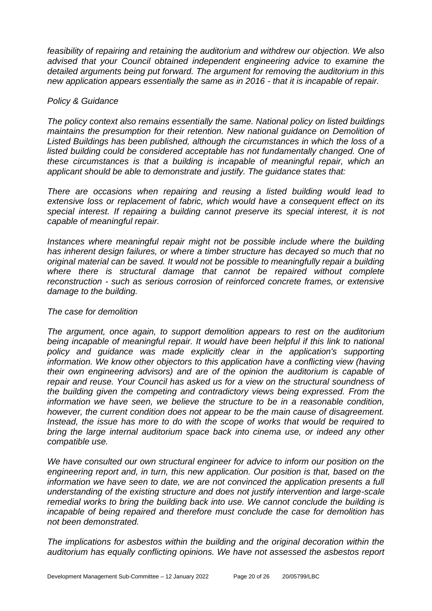*feasibility of repairing and retaining the auditorium and withdrew our objection. We also advised that your Council obtained independent engineering advice to examine the detailed arguments being put forward. The argument for removing the auditorium in this new application appears essentially the same as in 2016 - that it is incapable of repair.*

#### *Policy & Guidance*

*The policy context also remains essentially the same. National policy on listed buildings maintains the presumption for their retention. New national guidance on Demolition of Listed Buildings has been published, although the circumstances in which the loss of a*  listed building could be considered acceptable has not fundamentally changed. One of *these circumstances is that a building is incapable of meaningful repair, which an applicant should be able to demonstrate and justify. The guidance states that:*

*There are occasions when repairing and reusing a listed building would lead to extensive loss or replacement of fabric, which would have a consequent effect on its special interest. If repairing a building cannot preserve its special interest, it is not capable of meaningful repair.*

*Instances where meaningful repair might not be possible include where the building has inherent design failures, or where a timber structure has decayed so much that no original material can be saved. It would not be possible to meaningfully repair a building*  where there is structural damage that cannot be repaired without complete *reconstruction - such as serious corrosion of reinforced concrete frames, or extensive damage to the building.*

#### *The case for demolition*

*The argument, once again, to support demolition appears to rest on the auditorium*  being incapable of meaningful repair. It would have been helpful if this link to national policy and guidance was made explicitly clear in the application's supporting *information. We know other objectors to this application have a conflicting view (having their own engineering advisors) and are of the opinion the auditorium is capable of repair and reuse. Your Council has asked us for a view on the structural soundness of the building given the competing and contradictory views being expressed. From the information we have seen, we believe the structure to be in a reasonable condition, however, the current condition does not appear to be the main cause of disagreement. Instead, the issue has more to do with the scope of works that would be required to bring the large internal auditorium space back into cinema use, or indeed any other compatible use.*

*We have consulted our own structural engineer for advice to inform our position on the engineering report and, in turn, this new application. Our position is that, based on the information we have seen to date, we are not convinced the application presents a full understanding of the existing structure and does not justify intervention and large-scale remedial works to bring the building back into use. We cannot conclude the building is incapable of being repaired and therefore must conclude the case for demolition has not been demonstrated.*

*The implications for asbestos within the building and the original decoration within the auditorium has equally conflicting opinions. We have not assessed the asbestos report*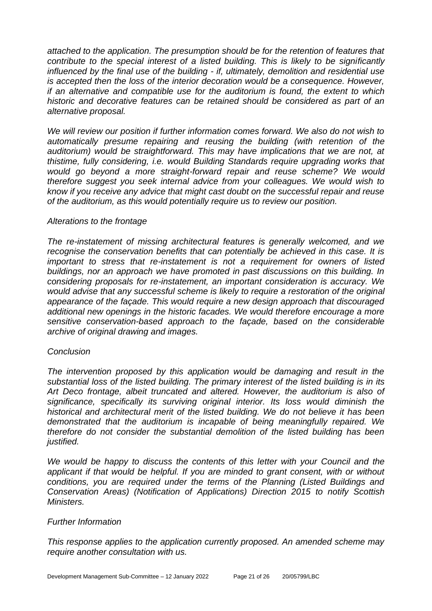*attached to the application. The presumption should be for the retention of features that contribute to the special interest of a listed building. This is likely to be significantly influenced by the final use of the building - if, ultimately, demolition and residential use is accepted then the loss of the interior decoration would be a consequence. However, if an alternative and compatible use for the auditorium is found, the extent to which historic and decorative features can be retained should be considered as part of an alternative proposal.*

*We will review our position if further information comes forward. We also do not wish to automatically presume repairing and reusing the building (with retention of the auditorium) would be straightforward. This may have implications that we are not, at thistime, fully considering, i.e. would Building Standards require upgrading works that would go beyond a more straight-forward repair and reuse scheme? We would therefore suggest you seek internal advice from your colleagues. We would wish to know if you receive any advice that might cast doubt on the successful repair and reuse of the auditorium, as this would potentially require us to review our position.*

#### *Alterations to the frontage*

*The re-instatement of missing architectural features is generally welcomed, and we recognise the conservation benefits that can potentially be achieved in this case. It is important to stress that re-instatement is not a requirement for owners of listed buildings, nor an approach we have promoted in past discussions on this building. In considering proposals for re-instatement, an important consideration is accuracy. We would advise that any successful scheme is likely to require a restoration of the original appearance of the façade. This would require a new design approach that discouraged additional new openings in the historic facades. We would therefore encourage a more sensitive conservation-based approach to the façade, based on the considerable archive of original drawing and images.*

#### *Conclusion*

*The intervention proposed by this application would be damaging and result in the substantial loss of the listed building. The primary interest of the listed building is in its Art Deco frontage, albeit truncated and altered. However, the auditorium is also of significance, specifically its surviving original interior. Its loss would diminish the historical and architectural merit of the listed building. We do not believe it has been demonstrated that the auditorium is incapable of being meaningfully repaired. We therefore do not consider the substantial demolition of the listed building has been justified.*

*We would be happy to discuss the contents of this letter with your Council and the applicant if that would be helpful. If you are minded to grant consent, with or without conditions, you are required under the terms of the Planning (Listed Buildings and Conservation Areas) (Notification of Applications) Direction 2015 to notify Scottish Ministers.*

#### *Further Information*

*This response applies to the application currently proposed. An amended scheme may require another consultation with us.*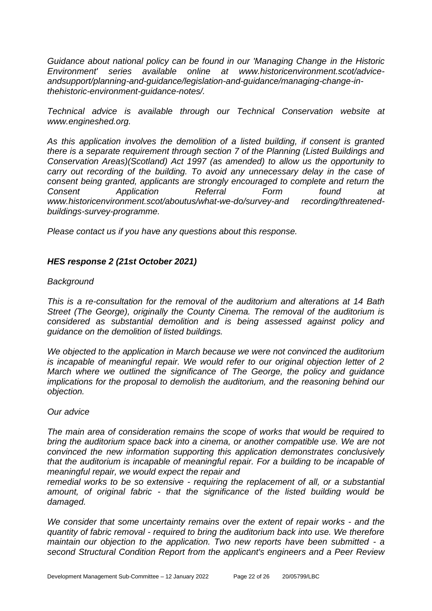*Guidance about national policy can be found in our 'Managing Change in the Historic Environment' series available online at www.historicenvironment.scot/adviceandsupport/planning-and-guidance/legislation-and-guidance/managing-change-inthehistoric-environment-guidance-notes/.*

*Technical advice is available through our Technical Conservation website at www.engineshed.org.*

*As this application involves the demolition of a listed building, if consent is granted there is a separate requirement through section 7 of the Planning (Listed Buildings and Conservation Areas)(Scotland) Act 1997 (as amended) to allow us the opportunity to carry out recording of the building. To avoid any unnecessary delay in the case of consent being granted, applicants are strongly encouraged to complete and return the Consent Application Referral Form found at*  www.historicenvironment.scot/aboutus/what-we-do/survey-and recording/threatened*buildings-survey-programme.*

*Please contact us if you have any questions about this response.* 

#### *HES response 2 (21st October 2021)*

#### *Background*

*This is a re-consultation for the removal of the auditorium and alterations at 14 Bath Street (The George), originally the County Cinema. The removal of the auditorium is considered as substantial demolition and is being assessed against policy and guidance on the demolition of listed buildings.*

*We objected to the application in March because we were not convinced the auditorium is incapable of meaningful repair. We would refer to our original objection letter of 2 March where we outlined the significance of The George, the policy and guidance implications for the proposal to demolish the auditorium, and the reasoning behind our objection.*

#### *Our advice*

*The main area of consideration remains the scope of works that would be required to bring the auditorium space back into a cinema, or another compatible use. We are not convinced the new information supporting this application demonstrates conclusively that the auditorium is incapable of meaningful repair. For a building to be incapable of meaningful repair, we would expect the repair and* 

*remedial works to be so extensive - requiring the replacement of all, or a substantial amount, of original fabric - that the significance of the listed building would be damaged.*

*We consider that some uncertainty remains over the extent of repair works - and the quantity of fabric removal - required to bring the auditorium back into use. We therefore maintain our objection to the application. Two new reports have been submitted - a second Structural Condition Report from the applicant's engineers and a Peer Review*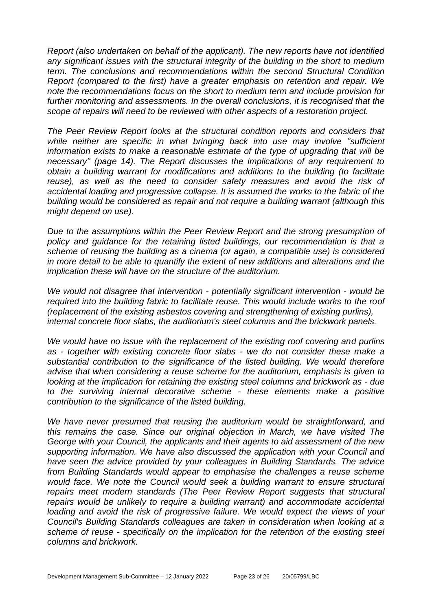*Report (also undertaken on behalf of the applicant). The new reports have not identified any significant issues with the structural integrity of the building in the short to medium term. The conclusions and recommendations within the second Structural Condition Report (compared to the first) have a greater emphasis on retention and repair. We note the recommendations focus on the short to medium term and include provision for*  further monitoring and assessments. In the overall conclusions, it is recognised that the *scope of repairs will need to be reviewed with other aspects of a restoration project.*

*The Peer Review Report looks at the structural condition reports and considers that while neither are specific in what bringing back into use may involve ''sufficient information exists to make a reasonable estimate of the type of upgrading that will be necessary'' (page 14). The Report discusses the implications of any requirement to obtain a building warrant for modifications and additions to the building (to facilitate*  reuse), as well as the need to consider safety measures and avoid the risk of *accidental loading and progressive collapse. It is assumed the works to the fabric of the building would be considered as repair and not require a building warrant (although this might depend on use).*

*Due to the assumptions within the Peer Review Report and the strong presumption of*  policy and guidance for the retaining listed buildings, our recommendation is that a *scheme of reusing the building as a cinema (or again, a compatible use) is considered in more detail to be able to quantify the extent of new additions and alterations and the implication these will have on the structure of the auditorium.*

*We would not disagree that intervention - potentially significant intervention - would be required into the building fabric to facilitate reuse. This would include works to the roof (replacement of the existing asbestos covering and strengthening of existing purlins), internal concrete floor slabs, the auditorium's steel columns and the brickwork panels.* 

*We would have no issue with the replacement of the existing roof covering and purlins as - together with existing concrete floor slabs - we do not consider these make a substantial contribution to the significance of the listed building. We would therefore advise that when considering a reuse scheme for the auditorium, emphasis is given to looking at the implication for retaining the existing steel columns and brickwork as - due to the surviving internal decorative scheme - these elements make a positive contribution to the significance of the listed building.*

*We have never presumed that reusing the auditorium would be straightforward, and this remains the case. Since our original objection in March, we have visited The George with your Council, the applicants and their agents to aid assessment of the new supporting information. We have also discussed the application with your Council and have seen the advice provided by your colleagues in Building Standards. The advice from Building Standards would appear to emphasise the challenges a reuse scheme would face. We note the Council would seek a building warrant to ensure structural repairs meet modern standards (The Peer Review Report suggests that structural repairs would be unlikely to require a building warrant) and accommodate accidental*  loading and avoid the risk of progressive failure. We would expect the views of your *Council's Building Standards colleagues are taken in consideration when looking at a scheme of reuse - specifically on the implication for the retention of the existing steel columns and brickwork.*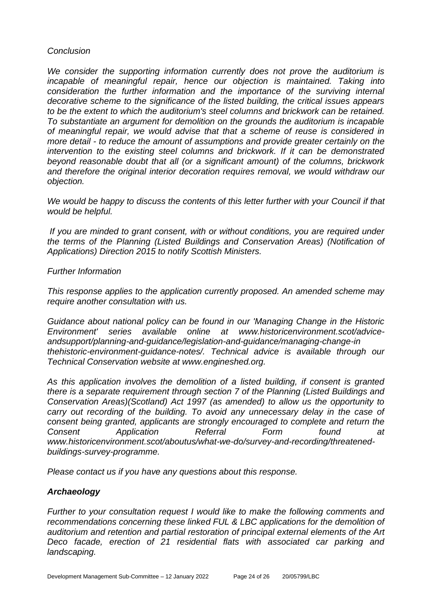#### *Conclusion*

*We consider the supporting information currently does not prove the auditorium is*  incapable of meaningful repair, hence our objection is maintained. Taking into *consideration the further information and the importance of the surviving internal decorative scheme to the significance of the listed building, the critical issues appears to be the extent to which the auditorium's steel columns and brickwork can be retained. To substantiate an argument for demolition on the grounds the auditorium is incapable of meaningful repair, we would advise that that a scheme of reuse is considered in more detail - to reduce the amount of assumptions and provide greater certainly on the intervention to the existing steel columns and brickwork. If it can be demonstrated beyond reasonable doubt that all (or a significant amount) of the columns, brickwork and therefore the original interior decoration requires removal, we would withdraw our objection.*

*We would be happy to discuss the contents of this letter further with your Council if that would be helpful.*

*If you are minded to grant consent, with or without conditions, you are required under the terms of the Planning (Listed Buildings and Conservation Areas) (Notification of Applications) Direction 2015 to notify Scottish Ministers.*

#### *Further Information*

*This response applies to the application currently proposed. An amended scheme may require another consultation with us.*

*Guidance about national policy can be found in our 'Managing Change in the Historic Environment' series available online at www.historicenvironment.scot/adviceandsupport/planning-and-guidance/legislation-and-guidance/managing-change-in thehistoric-environment-guidance-notes/. Technical advice is available through our Technical Conservation website at www.engineshed.org.*

*As this application involves the demolition of a listed building, if consent is granted there is a separate requirement through section 7 of the Planning (Listed Buildings and Conservation Areas)(Scotland) Act 1997 (as amended) to allow us the opportunity to carry out recording of the building. To avoid any unnecessary delay in the case of consent being granted, applicants are strongly encouraged to complete and return the Consent Application Referral Form found at www.historicenvironment.scot/aboutus/what-we-do/survey-and-recording/threatenedbuildings-survey-programme.*

*Please contact us if you have any questions about this response.* 

#### *Archaeology*

*Further to your consultation request I would like to make the following comments and recommendations concerning these linked FUL & LBC applications for the demolition of auditorium and retention and partial restoration of principal external elements of the Art Deco facade, erection of 21 residential flats with associated car parking and landscaping.*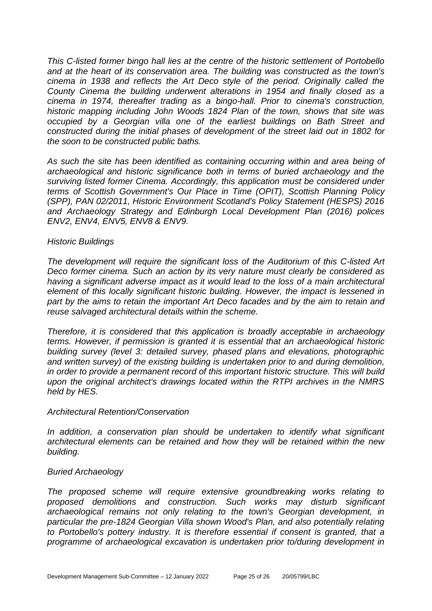*This C-listed former bingo hall lies at the centre of the historic settlement of Portobello and at the heart of its conservation area. The building was constructed as the town's cinema in 1938 and reflects the Art Deco style of the period. Originally called the County Cinema the building underwent alterations in 1954 and finally closed as a cinema in 1974, thereafter trading as a bingo-hall. Prior to cinema's construction, historic mapping including John Woods 1824 Plan of the town, shows that site was occupied by a Georgian villa one of the earliest buildings on Bath Street and constructed during the initial phases of development of the street laid out in 1802 for the soon to be constructed public baths.* 

*As such the site has been identified as containing occurring within and area being of archaeological and historic significance both in terms of buried archaeology and the surviving listed former Cinema. Accordingly, this application must be considered under terms of Scottish Government's Our Place in Time (OPIT), Scottish Planning Policy (SPP), PAN 02/2011, Historic Environment Scotland's Policy Statement (HESPS) 2016 and Archaeology Strategy and Edinburgh Local Development Plan (2016) polices ENV2, ENV4, ENV5, ENV8 & ENV9.* 

#### *Historic Buildings*

*The development will require the significant loss of the Auditorium of this C-listed Art Deco former cinema. Such an action by its very nature must clearly be considered as having a significant adverse impact as it would lead to the loss of a main architectural element of this locally significant historic building. However, the impact is lessened in part by the aims to retain the important Art Deco facades and by the aim to retain and reuse salvaged architectural details within the scheme.* 

*Therefore, it is considered that this application is broadly acceptable in archaeology terms. However, if permission is granted it is essential that an archaeological historic building survey (level 3: detailed survey, phased plans and elevations, photographic and written survey) of the existing building is undertaken prior to and during demolition, in order to provide a permanent record of this important historic structure. This will build upon the original architect's drawings located within the RTPI archives in the NMRS held by HES.*

#### *Architectural Retention/Conservation*

In addition, a conservation plan should be undertaken to identify what significant *architectural elements can be retained and how they will be retained within the new building.*

#### *Buried Archaeology*

*The proposed scheme will require extensive groundbreaking works relating to proposed demolitions and construction. Such works may disturb significant archaeological remains not only relating to the town's Georgian development, in particular the pre-1824 Georgian Villa shown Wood's Plan, and also potentially relating to Portobello's pottery industry. It is therefore essential if consent is granted, that a programme of archaeological excavation is undertaken prior to/during development in*